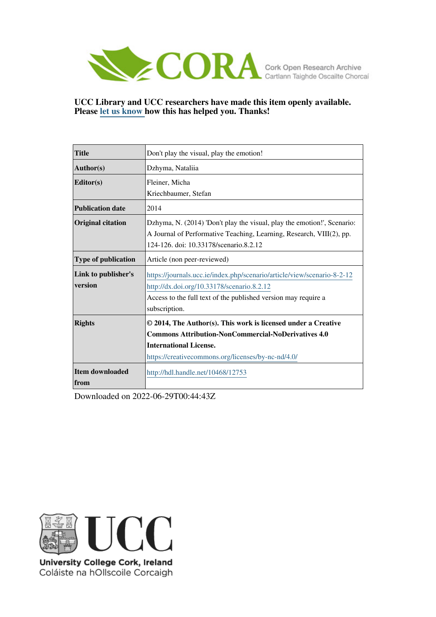

**UCC Library and UCC researchers have made this item openly available. Please [let us know h](https://libguides.ucc.ie/openaccess/impact?suffix=12753&title=Don)ow this has helped you. Thanks!**

| <b>Title</b>               | Don't play the visual, play the emotion!                                |
|----------------------------|-------------------------------------------------------------------------|
| <b>Author(s)</b>           | Dzhyma, Nataliia                                                        |
| Editor(s)                  | Fleiner, Micha                                                          |
|                            | Kriechbaumer, Stefan                                                    |
| <b>Publication date</b>    | 2014                                                                    |
| <b>Original citation</b>   | Dzhyma, N. (2014) 'Don't play the visual, play the emotion!', Scenario: |
|                            | A Journal of Performative Teaching, Learning, Research, VIII(2), pp.    |
|                            | 124-126, doi: 10.33178/scenario.8.2.12                                  |
| <b>Type of publication</b> | Article (non peer-reviewed)                                             |
| Link to publisher's        | https://journals.ucc.ie/index.php/scenario/article/view/scenario-8-2-12 |
| version                    | http://dx.doi.org/10.33178/scenario.8.2.12                              |
|                            | Access to the full text of the published version may require a          |
|                            | subscription.                                                           |
| <b>Rights</b>              | © 2014, The Author(s). This work is licensed under a Creative           |
|                            | <b>Commons Attribution-NonCommercial-NoDerivatives 4.0</b>              |
|                            | <b>International License.</b>                                           |
|                            | https://creativecommons.org/licenses/by-nc-nd/4.0/                      |
| <b>Item downloaded</b>     | http://hdl.handle.net/10468/12753                                       |
| from                       |                                                                         |

Downloaded on 2022-06-29T00:44:43Z



University College Cork, Ireland Coláiste na hOllscoile Corcaigh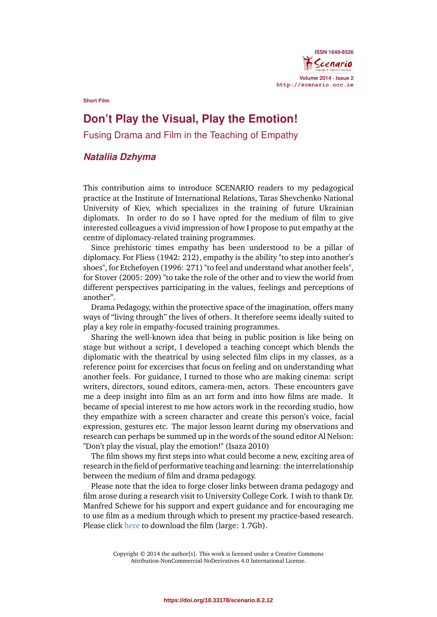

**Short Film**

## **Don't Play the Visual, Play the Emotion!**

Fusing Drama and Film in the Teaching of Empathy

## *Nataliia Dzhyma*

This contribution aims to introduce SCENARIO readers to my pedagogical practice at the Institute of International Relations, Taras Shevchenko National University of Kiev, which specializes in the training of future Ukrainian diplomats. In order to do so I have opted for the medium of film to give interested colleagues a vivid impression of how I propose to put empathy at the centre of diplomacy-related training programmes.

Since prehistoric times empathy has been understood to be a pillar of diplomacy. For Fliess (1942: 212), empathy is the ability "to step into another's shoes", for Etchefoyen (1996: 271) "to feel and understand what another feels", for Stover (2005: 209) "to take the role of the other and to view the world from different perspectives participating in the values, feelings and perceptions of another".

Drama Pedagogy, within the protective space of the imagination, offers many ways of "living through" the lives of others. It therefore seems ideally suited to play a key role in empathy-focused training programmes.

Sharing the well-known idea that being in public position is like being on stage but without a script, I developed a teaching concept which blends the diplomatic with the theatrical by using selected film clips in my classes, as a reference point for excercises that focus on feeling and on understanding what another feels. For guidance, I turned to those who are making cinema: script writers, directors, sound editors, camera-men, actors. These encounters gave me a deep insight into film as an art form and into how films are made. It became of special interest to me how actors work in the recording studio, how they empathize with a screen character and create this person's voice, facial expression, gestures etc. The major lesson learnt during my observations and research can perhaps be summed up in the words of the sound editor Al Nelson: "Don't play the visual, play the emotion!" (Isaza 2010)

The film shows my first steps into what could become a new, exciting area of research in the field of performative teaching and learning: the interrelationship between the medium of film and drama pedagogy.

Please note that the idea to forge closer links between drama pedagogy and film arose during a research visit to University College Cork. I wish to thank Dr. Manfred Schewe for his support and expert guidance and for encouraging me to use film as a medium through which to present my practice-based research. Please click [here](http://epu.ucc.ie/scenario/FilmNataliyaDzhyma27.12.2014.mp4) to download the film (large: 1.7Gb).

> Copyright © 2014 the author[s]. This work is licensed under a Creative Commons Attribution-NonCommercial-NoDerivatives 4.0 International License.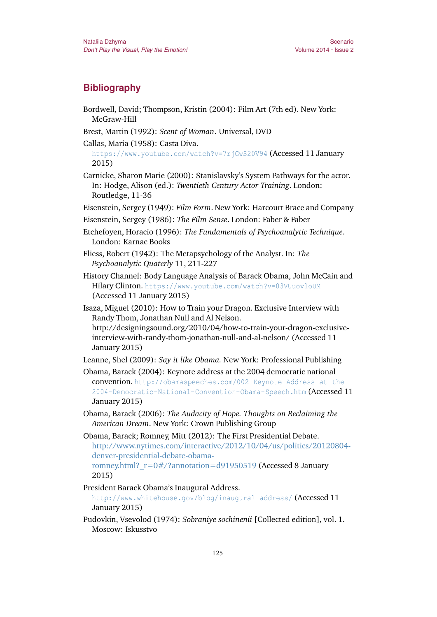## **Bibliography**

- Bordwell, David; Thompson, Kristin (2004): Film Art (7th ed). New York: McGraw-Hill
- Brest, Martin (1992): *Scent of Woman*. Universal, DVD
- Callas, Maria (1958): Casta Diva.

<https://www.youtube.com/watch?v=7rjGwS20V94> (Accessed 11 January 2015)

- Carnicke, Sharon Marie (2000): Stanislavsky's System Pathways for the actor*.* In: Hodge, Alison (ed.): *Twentieth Century Actor Training*. London: Routledge, 11-36
- Eisenstein, Sergey (1949): *Film Form*. New York: Harcourt Brace and Company
- Eisenstein, Sergey (1986): *The Film Sense*. London: Faber & Faber
- Etchefoyen, Horacio (1996): *The Fundamentals of Psychoanalytic Technique*. London: Karnac Books
- Fliess, Robert (1942): The Metapsychology of the Analyst. In: *The Psychoanalytic Quaterly* 11, 211-227
- History Channel: Body Language Analysis of Barack Obama, John McCain and Hilary Clinton. <https://www.youtube.com/watch?v=03VUuovloUM> (Accessed 11 January 2015)
- Isaza, Miguel (2010): How to Train your Dragon. Exclusive Interview with Randy Thom, Jonathan Null and Al Nelson. http://designingsound.org/2010/04/how-to-train-your-dragon-exclusiveinterview-with-randy-thom-jonathan-null-and-al-nelson/ (Accessed 11 January 2015)

Leanne, Shel (2009): *Say it like Obama.* New York: Professional Publishing

- Obama, Barack (2004): Keynote address at the 2004 democratic national convention. [http://obamaspeeches.com/002-Keynote-Address-at-the-](http://obamaspeeches.com/002-Keynote-Address-at-the-2004-Democratic-National-Convention-Obama-Speech.htm)[2004-Democratic-National-Convention-Obama-Speech.htm](http://obamaspeeches.com/002-Keynote-Address-at-the-2004-Democratic-National-Convention-Obama-Speech.htm) (Accessed 11 January 2015)
- Obama, Barack (2006): *The Audacity of Hope. Thoughts on Reclaiming the American Dream*. New York: Crown Publishing Group
- Obama, Barack; Romney, Mitt (2012): The First Presidential Debate. [http://www.nytimes.com/interactive/2012/10/04/us/politics/20120804](http://www.nytimes.com/interactive/2012/10/04/us/politics/20120804-denver-presidential-debate-obama-romney.html?_r=0) [denver-presidential-debate-obama](http://www.nytimes.com/interactive/2012/10/04/us/politics/20120804-denver-presidential-debate-obama-romney.html?_r=0)romney.html?  $r=0\frac{#}{?}$ annotation=d91950519 (Accessed 8 January 2015)

President Barack Obama's Inaugural Address.

<http://www.whitehouse.gov/blog/inaugural-address/> (Accessed 11 January 2015)

Pudovkin, Vsevolod (1974): *Sobraniye sochinenii* [Collected edition], vol. 1. Moscow: Iskusstvo